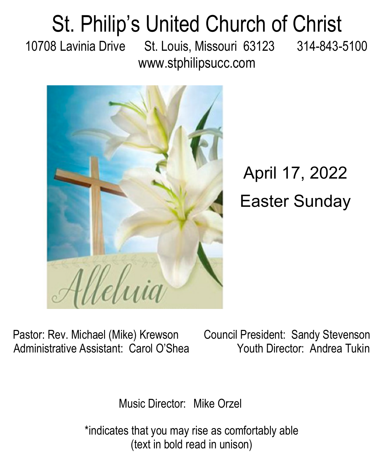## St. Philip's United Church of Christ 10708 Lavinia Drive St. Louis, Missouri 63123 314-843-5100 www.stphilipsucc.com



April 17, 2022 Easter Sunday

Pastor: Rev. Michael (Mike) Krewson Council President: Sandy Stevenson Administrative Assistant: Carol O'Shea Youth Director: Andrea Tukin

Music Director: Mike Orzel

\*indicates that you may rise as comfortably able (text in bold read in unison)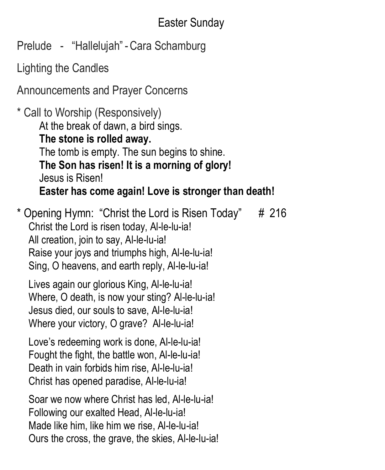## Easter Sunday

Prelude - "Hallelujah" -Cara Schamburg

Lighting the Candles

Announcements and Prayer Concerns

\* Call to Worship (Responsively) At the break of dawn, a bird sings. **The stone is rolled away.** The tomb is empty. The sun begins to shine. **The Son has risen! It is a morning of glory!** Jesus is Risen! **Easter has come again! Love is stronger than death!**

\* Opening Hymn: "Christ the Lord is Risen Today"  $\#$  216 Christ the Lord is risen today, Al-le-lu-ia! All creation, join to say, Al-le-lu-ia! Raise your joys and triumphs high, Al-le-lu-ia! Sing, O heavens, and earth reply, Al-le-lu-ia!

Lives again our glorious King, Al-le-lu-ia! Where, O death, is now your sting? Al-le-lu-ia! Jesus died, our souls to save, Al-le-lu-ia! Where your victory, O grave? Al-le-lu-ia!

Love's redeeming work is done, Al-le-lu-ia! Fought the fight, the battle won, Al-le-lu-ia! Death in vain forbids him rise, Al-le-lu-ia! Christ has opened paradise, Al-le-lu-ia!

Soar we now where Christ has led, Al-le-lu-ia! Following our exalted Head, Al-le-lu-ia! Made like him, like him we rise, Al-le-lu-ia! Ours the cross, the grave, the skies, Al-le-lu-ia!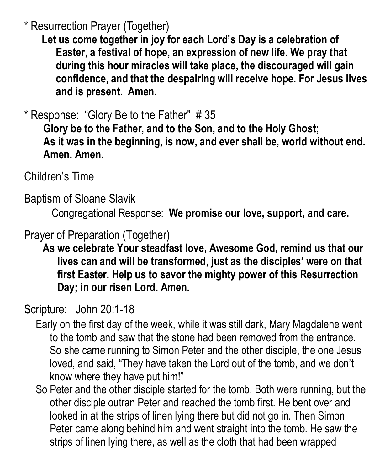\* Resurrection Prayer (Together)

**Let us come together in joy for each Lord's Day is a celebration of Easter, a festival of hope, an expression of new life. We pray that during this hour miracles will take place, the discouraged will gain confidence, and that the despairing will receive hope. For Jesus lives and is present. Amen.**

\* Response: "Glory Be to the Father" # 35

**Glory be to the Father, and to the Son, and to the Holy Ghost; As it was in the beginning, is now, and ever shall be, world without end. Amen. Amen.**

Children's Time

Baptism of Sloane Slavik

Congregational Response: **We promise our love, support, and care.**

## Prayer of Preparation (Together)

**As we celebrate Your steadfast love, Awesome God, remind us that our lives can and will be transformed, just as the disciples' were on that first Easter. Help us to savor the mighty power of this Resurrection Day; in our risen Lord. Amen.**

## Scripture: John 20:1-18

- Early on the first day of the week, while it was still dark, Mary Magdalene went to the tomb and saw that the stone had been removed from the entrance. So she came running to Simon Peter and the other disciple, the one Jesus loved, and said, "They have taken the Lord out of the tomb, and we don't know where they have put him!"
- So Peter and the other disciple started for the tomb. Both were running, but the other disciple outran Peter and reached the tomb first. He bent over and looked in at the strips of linen lying there but did not go in. Then Simon Peter came along behind him and went straight into the tomb. He saw the strips of linen lying there, as well as the cloth that had been wrapped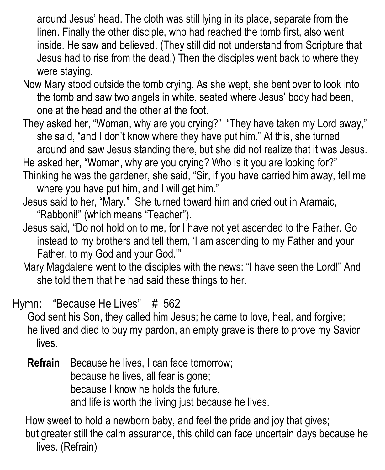around Jesus' head. The cloth was still lying in its place, separate from the linen. Finally the other disciple, who had reached the tomb first, also went inside. He saw and believed. (They still did not understand from Scripture that Jesus had to rise from the dead.) Then the disciples went back to where they were staying.

- Now Mary stood outside the tomb crying. As she wept, she bent over to look into the tomb and saw two angels in white, seated where Jesus' body had been, one at the head and the other at the foot.
- They asked her, "Woman, why are you crying?" "They have taken my Lord away," she said, "and I don't know where they have put him." At this, she turned around and saw Jesus standing there, but she did not realize that it was Jesus. He asked her, "Woman, why are you crying? Who is it you are looking for?"
- Thinking he was the gardener, she said, "Sir, if you have carried him away, tell me where you have put him, and I will get him."
- Jesus said to her, "Mary." She turned toward him and cried out in Aramaic, "Rabboni!" (which means "Teacher").
- Jesus said, "Do not hold on to me, for I have not yet ascended to the Father. Go instead to my brothers and tell them, 'I am ascending to my Father and your Father, to my God and your God.'"
- Mary Magdalene went to the disciples with the news: "I have seen the Lord!" And she told them that he had said these things to her.

Hymn: "Because He Lives" # 562

God sent his Son, they called him Jesus; he came to love, heal, and forgive; he lived and died to buy my pardon, an empty grave is there to prove my Savior lives.

**Refrain** Because he lives, I can face tomorrow; because he lives, all fear is gone; because I know he holds the future, and life is worth the living just because he lives.

How sweet to hold a newborn baby, and feel the pride and joy that gives; but greater still the calm assurance, this child can face uncertain days because he lives. (Refrain)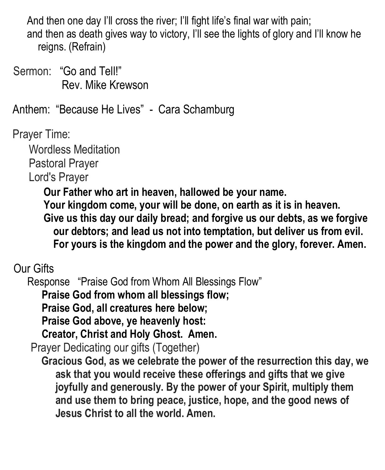And then one day I'll cross the river; I'll fight life's final war with pain; and then as death gives way to victory, I'll see the lights of glory and I'll know he reigns. (Refrain)

Sermon: "Go and Tell!" Rev. Mike Krewson

Anthem: "Because He Lives" - Cara Schamburg

Prayer Time:

Wordless Meditation Pastoral Prayer Lord's Prayer

**Our Father who art in heaven, hallowed be your name. Your kingdom come, your will be done, on earth as it is in heaven. Give us this day our daily bread; and forgive us our debts, as we forgive our debtors; and lead us not into temptation, but deliver us from evil. For yours is the kingdom and the power and the glory, forever. Amen.**

Our Gifts

Response "Praise God from Whom All Blessings Flow"

**Praise God from whom all blessings flow;** 

**Praise God, all creatures here below;**

**Praise God above, ye heavenly host:** 

**Creator, Christ and Holy Ghost. Amen.**

Prayer Dedicating our gifts (Together)

**Gracious God, as we celebrate the power of the resurrection this day, we ask that you would receive these offerings and gifts that we give joyfully and generously. By the power of your Spirit, multiply them and use them to bring peace, justice, hope, and the good news of Jesus Christ to all the world. Amen.**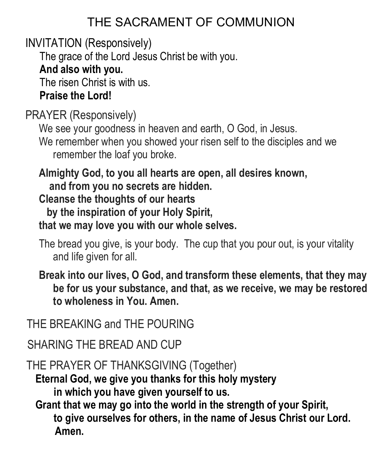## THE SACRAMENT OF COMMUNION

INVITATION (Responsively)

The grace of the Lord Jesus Christ be with you.

## **And also with you.**

The risen Christ is with us.

## **Praise the Lord!**

PRAYER (Responsively)

We see your goodness in heaven and earth, O God, in Jesus.

We remember when you showed your risen self to the disciples and we remember the loaf you broke.

## **Almighty God, to you all hearts are open, all desires known, and from you no secrets are hidden.**

## **Cleanse the thoughts of our hearts**

 **by the inspiration of your Holy Spirit,**

## **that we may love you with our whole selves.**

The bread you give, is your body. The cup that you pour out, is your vitality and life given for all.

#### **Break into our lives, O God, and transform these elements, that they may be for us your substance, and that, as we receive, we may be restored to wholeness in You. Amen.**

THE BREAKING and THE POURING

SHARING THE BREAD AND CUP

## THE PRAYER OF THANKSGIVING (Together)

**Eternal God, we give you thanks for this holy mystery in which you have given yourself to us.**

**Grant that we may go into the world in the strength of your Spirit, to give ourselves for others, in the name of Jesus Christ our Lord. Amen.**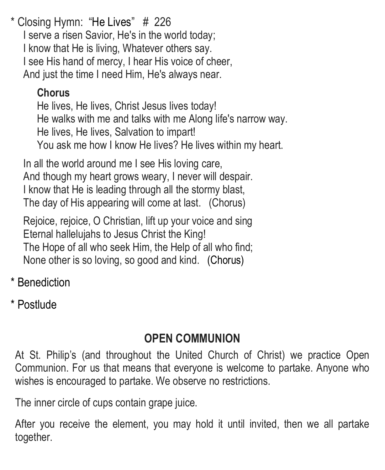\* Closing Hymn: "He Lives" # 226 I serve a risen Savior, He's in the world today; I know that He is living, Whatever others say. I see His hand of mercy, I hear His voice of cheer, And just the time I need Him, He's always near.

## **Chorus**

He lives, He lives, Christ Jesus lives today! He walks with me and talks with me Along life's narrow way. He lives, He lives, Salvation to impart! You ask me how I know He lives? He lives within my heart.

In all the world around me I see His loving care, And though my heart grows weary, I never will despair. I know that He is leading through all the stormy blast, The day of His appearing will come at last. (Chorus)

Rejoice, rejoice, O Christian, lift up your voice and sing Eternal hallelujahs to Jesus Christ the King! The Hope of all who seek Him, the Help of all who find; None other is so loving, so good and kind. (Chorus)

- \* Benediction
- \* Postlude

## **OPEN COMMUNION**

At St. Philip's (and throughout the United Church of Christ) we practice Open Communion. For us that means that everyone is welcome to partake. Anyone who wishes is encouraged to partake. We observe no restrictions.

The inner circle of cups contain grape juice.

After you receive the element, you may hold it until invited, then we all partake together.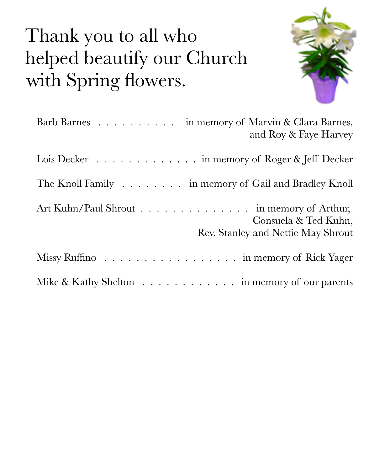# Thank you to all who helped beautify our Church with Spring flowers.



| Barb Barnes in memory of Marvin & Clara Barnes,<br>and Roy & Faye Harvey                                |
|---------------------------------------------------------------------------------------------------------|
| Lois Decker $\dots \dots \dots \dots \dots$ in memory of Roger & Jeff Decker                            |
| The Knoll Family in memory of Gail and Bradley Knoll                                                    |
| Art Kuhn/Paul Shrout in memory of Arthur,<br>Consuela & Ted Kuhn,<br>Rev. Stanley and Nettie May Shrout |
| Missy Ruffino in memory of Rick Yager                                                                   |
| Mike & Kathy Shelton $\dots \dots \dots \dots$ in memory of our parents                                 |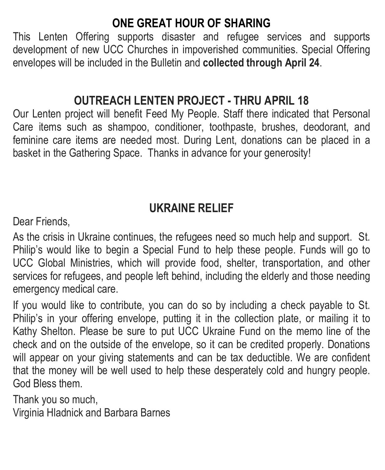## **ONE GREAT HOUR OF SHARING**

This Lenten Offering supports disaster and refugee services and supports development of new UCC Churches in impoverished communities. Special Offering envelopes will be included in the Bulletin and **collected through April 24**.

### **OUTREACH LENTEN PROJECT - THRU APRIL 18**

Our Lenten project will benefit Feed My People. Staff there indicated that Personal Care items such as shampoo, conditioner, toothpaste, brushes, deodorant, and feminine care items are needed most. During Lent, donations can be placed in a basket in the Gathering Space. Thanks in advance for your generosity!

## **UKRAINE RELIEF**

Dear Friends,

As the crisis in Ukraine continues, the refugees need so much help and support. St. Philip's would like to begin a Special Fund to help these people. Funds will go to UCC Global Ministries, which will provide food, shelter, transportation, and other services for refugees, and people left behind, including the elderly and those needing emergency medical care.

If you would like to contribute, you can do so by including a check payable to St. Philip's in your offering envelope, putting it in the collection plate, or mailing it to Kathy Shelton. Please be sure to put UCC Ukraine Fund on the memo line of the check and on the outside of the envelope, so it can be credited properly. Donations will appear on your giving statements and can be tax deductible. We are confident that the money will be well used to help these desperately cold and hungry people. God Bless them.

Thank you so much, Virginia Hladnick and Barbara Barnes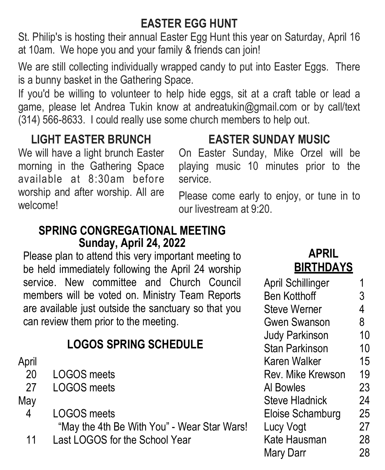## **EASTER EGG HUNT**

St. Philip's is hosting their annual Easter Egg Hunt this year on Saturday, April 16 at 10am. We hope you and your family & friends can join!

We are still collecting individually wrapped candy to put into Easter Eggs. There is a bunny basket in the Gathering Space.

If you'd be willing to volunteer to help hide eggs, sit at a craft table or lead a game, please let Andrea Tukin know at andreatukin@gmail.com or by call/text (314) 566-8633. I could really use some church members to help out.

## **LIGHT EASTER BRUNCH**

We will have a light brunch Easter morning in the Gathering Space available at 8:30am before worship and after worship. All are welcome!

## **EASTER SUNDAY MUSIC**

On Easter Sunday, Mike Orzel will be playing music 10 minutes prior to the service.

Please come early to enjoy, or tune in to our livestream at 9:20.

## **SPRING CONGREGATIONAL MEETING Sunday, April 24, 2022**

Please plan to attend this very important meeting to be held immediately following the April 24 worship service. New committee and Church Council members will be voted on. Ministry Team Reports are available just outside the sanctuary so that you can review them prior to the meeting.

## **LOGOS SPRING SCHEDULE**

April

- 20 LOGOS meets
- 27 LOGOS meets

May

- 4 LOGOS meets
	- "May the 4th Be With You" Wear Star Wars!
- 11 Last LOGOS for the School Year

#### **APRIL BIRTHDAYS**

| <b>April Schillinger</b> |    |
|--------------------------|----|
| <b>Ben Kotthoff</b>      | 3  |
| <b>Steve Werner</b>      | 4  |
| <b>Gwen Swanson</b>      | 8  |
| <b>Judy Parkinson</b>    | 10 |
| <b>Stan Parkinson</b>    | 10 |
| Karen Walker             | 15 |
| Rev. Mike Krewson        | 19 |
| <b>Al Bowles</b>         | 23 |
| <b>Steve Hladnick</b>    | 24 |
| Eloise Schamburg         | 25 |
| Lucy Vogt                | 27 |
| Kate Hausman             | 28 |
| Mary Darr                | 28 |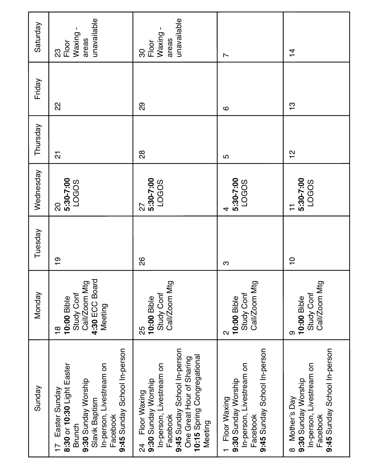| Saturday  | unavailable<br>Waxing-<br>areas<br>Floor<br>23                                                                                                                                | unavailable<br>Waxing-<br>areas<br>Floor<br>30                                                                                                                                           | ∼                                                                                                           | $\frac{1}{4}$                                                                                                           |
|-----------|-------------------------------------------------------------------------------------------------------------------------------------------------------------------------------|------------------------------------------------------------------------------------------------------------------------------------------------------------------------------------------|-------------------------------------------------------------------------------------------------------------|-------------------------------------------------------------------------------------------------------------------------|
| Friday    | 22                                                                                                                                                                            | 29                                                                                                                                                                                       | ဖ                                                                                                           | 13                                                                                                                      |
| Thursday  | 21                                                                                                                                                                            | 88                                                                                                                                                                                       | 5                                                                                                           | 은                                                                                                                       |
| Wednesday | 5:30-7:00<br>LOGOS<br>S0                                                                                                                                                      | 5:30-7:00<br>LOGOS<br>27                                                                                                                                                                 | $5:30 - 7:00$<br>LOGOS                                                                                      | 5:30-7:00<br>LOGOS                                                                                                      |
| Tuesday   | <u>ဝု</u>                                                                                                                                                                     | 88                                                                                                                                                                                       | က                                                                                                           | $\overline{C}$                                                                                                          |
| Monday    | 4:30 ECC Board<br>Call/Zoom Mtg<br><b>Study Conf</b><br>10:00 Bible<br>Meeting<br>$\frac{8}{1}$                                                                               | Call/Zoom Mtg<br>Study Conf<br>10:00 Bible<br>ని                                                                                                                                         | Call/Zoom Mtg<br><b>Study Conf</b><br>10:00 Bible                                                           | Call/Zoom Mtg<br>Study Conf<br>10:00 Bible<br>ග                                                                         |
| Sunday    | 9:45 Sunday School In-person<br>In-person, Livestream on<br>8:30 or 10:30 Light Easter<br>9:30 Sunday Worship<br>Easter Sunday<br>Slavik Baptism<br>Facebook<br><b>Brunch</b> | 9:45 Sunday School In-person<br>One Great Hour of Sharing<br>10:15 Spring Congregational<br>In-person, Livestream on<br>9:30 Sunday Worship<br>Floor Waxing<br>Facebook<br>Meeting<br>24 | 9:45 Sunday School In-person<br>In-person, Livestream on<br>9:30 Sunday Worship<br>Floor Waxing<br>Facebook | 9:45 Sunday School In-person<br>In-person, Livestream on<br>9:30 Sunday Worship<br>Mother's Day<br>Facebook<br>$\infty$ |